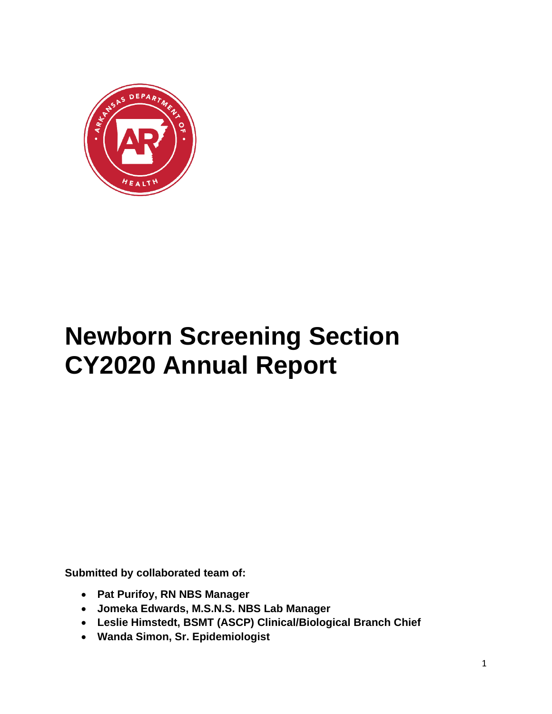

# **Newborn Screening Section CY2020 Annual Report**

**Submitted by collaborated team of:**

- **Pat Purifoy, RN NBS Manager**
- **Jomeka Edwards, M.S.N.S. NBS Lab Manager**
- **Leslie Himstedt, BSMT (ASCP) Clinical/Biological Branch Chief**
- **Wanda Simon, Sr. Epidemiologist**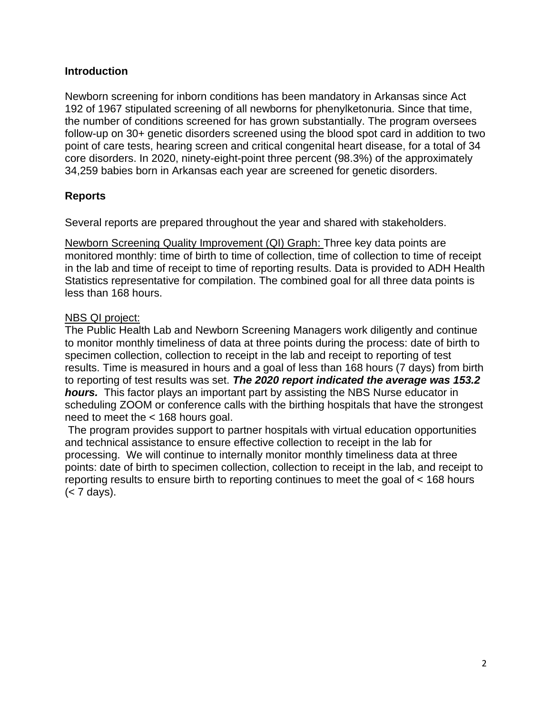#### **Introduction**

Newborn screening for inborn conditions has been mandatory in Arkansas since Act 192 of 1967 stipulated screening of all newborns for phenylketonuria. Since that time, the number of conditions screened for has grown substantially. The program oversees follow-up on 30+ genetic disorders screened using the blood spot card in addition to two point of care tests, hearing screen and critical congenital heart disease, for a total of 34 core disorders. In 2020, ninety-eight-point three percent (98.3%) of the approximately 34,259 babies born in Arkansas each year are screened for genetic disorders.

### **Reports**

Several reports are prepared throughout the year and shared with stakeholders.

Newborn Screening Quality Improvement (QI) Graph: Three key data points are monitored monthly: time of birth to time of collection, time of collection to time of receipt in the lab and time of receipt to time of reporting results. Data is provided to ADH Health Statistics representative for compilation. The combined goal for all three data points is less than 168 hours.

#### NBS QI project:

The Public Health Lab and Newborn Screening Managers work diligently and continue to monitor monthly timeliness of data at three points during the process: date of birth to specimen collection, collection to receipt in the lab and receipt to reporting of test results. Time is measured in hours and a goal of less than 168 hours (7 days) from birth to reporting of test results was set. *The 2020 report indicated the average was 153.2 hours.* This factor plays an important part by assisting the NBS Nurse educator in scheduling ZOOM or conference calls with the birthing hospitals that have the strongest need to meet the < 168 hours goal.

The program provides support to partner hospitals with virtual education opportunities and technical assistance to ensure effective collection to receipt in the lab for processing. We will continue to internally monitor monthly timeliness data at three points: date of birth to specimen collection, collection to receipt in the lab, and receipt to reporting results to ensure birth to reporting continues to meet the goal of < 168 hours (< 7 days).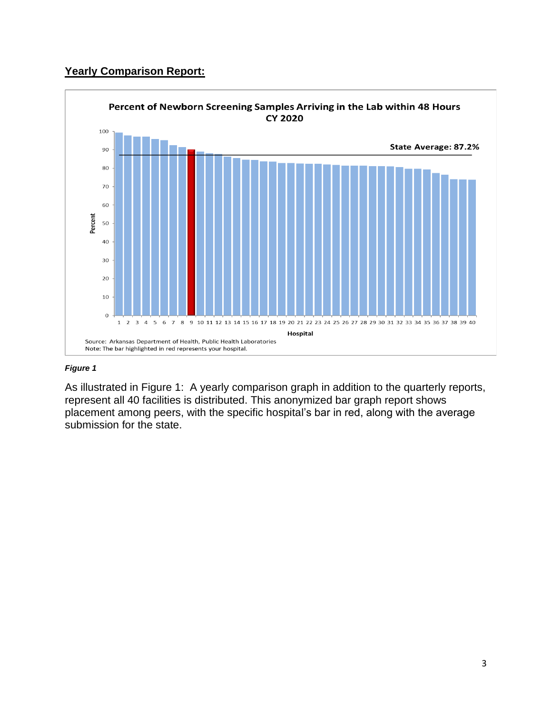# **Yearly Comparison Report:**



#### *Figure 1*

As illustrated in Figure 1: A yearly comparison graph in addition to the quarterly reports, represent all 40 facilities is distributed. This anonymized bar graph report shows placement among peers, with the specific hospital's bar in red, along with the average submission for the state.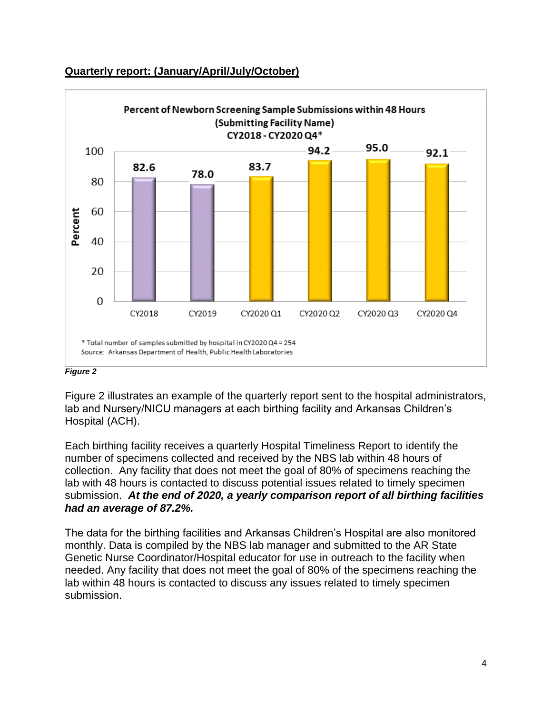

#### **Quarterly report: (January/April/July/October)**

#### *Figure 2*

Figure 2 illustrates an example of the quarterly report sent to the hospital administrators, lab and Nursery/NICU managers at each birthing facility and Arkansas Children's Hospital (ACH).

Each birthing facility receives a quarterly Hospital Timeliness Report to identify the number of specimens collected and received by the NBS lab within 48 hours of collection. Any facility that does not meet the goal of 80% of specimens reaching the lab with 48 hours is contacted to discuss potential issues related to timely specimen submission. *At the end of 2020, a yearly comparison report of all birthing facilities had an average of 87.2%.*

The data for the birthing facilities and Arkansas Children's Hospital are also monitored monthly. Data is compiled by the NBS lab manager and submitted to the AR State Genetic Nurse Coordinator/Hospital educator for use in outreach to the facility when needed. Any facility that does not meet the goal of 80% of the specimens reaching the lab within 48 hours is contacted to discuss any issues related to timely specimen submission.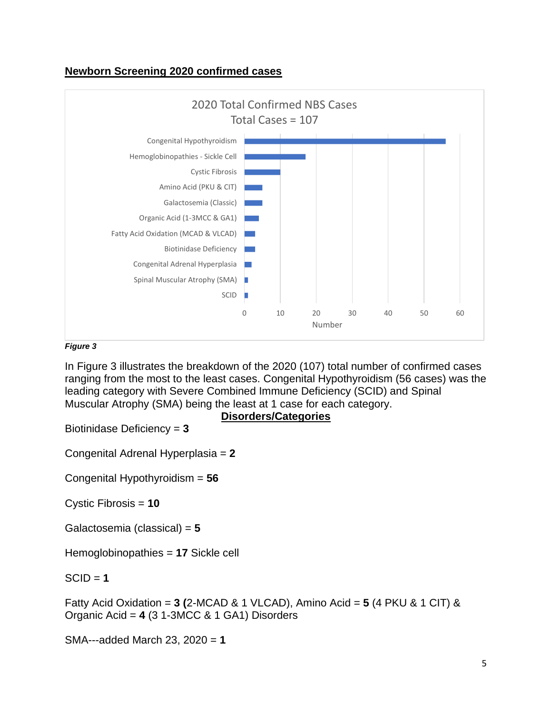#### **Newborn Screening 2020 confirmed cases**



#### *Figure 3*

In Figure 3 illustrates the breakdown of the 2020 (107) total number of confirmed cases ranging from the most to the least cases. Congenital Hypothyroidism (56 cases) was the leading category with Severe Combined Immune Deficiency (SCID) and Spinal Muscular Atrophy (SMA) being the least at 1 case for each category.

**Disorders/Categories**

Biotinidase Deficiency = **3**

Congenital Adrenal Hyperplasia = **2**

Congenital Hypothyroidism = **56**

Cystic Fibrosis = **10**

Galactosemia (classical) = **5**

Hemoglobinopathies = **17** Sickle cell

#### $SCID = 1$

Fatty Acid Oxidation = **3 (**2-MCAD & 1 VLCAD), Amino Acid = **5** (4 PKU & 1 CIT) & Organic Acid = **4** (3 1-3MCC & 1 GA1) Disorders

SMA---added March 23, 2020 = **1**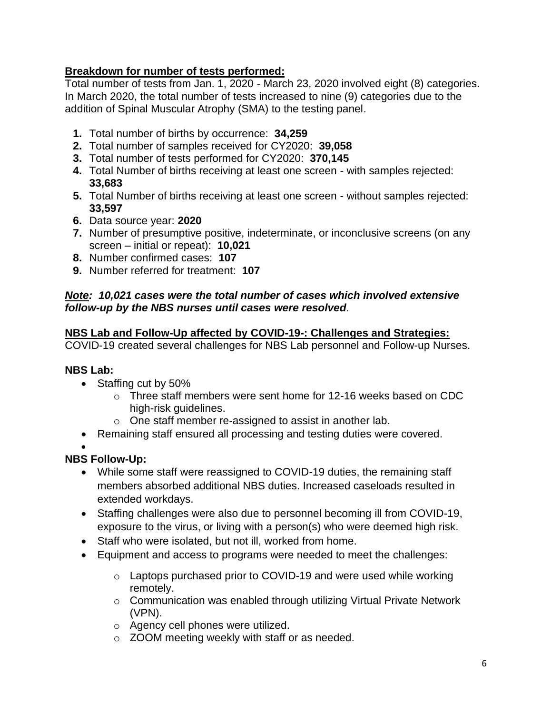# **Breakdown for number of tests performed:**

Total number of tests from Jan. 1, 2020 - March 23, 2020 involved eight (8) categories. In March 2020, the total number of tests increased to nine (9) categories due to the addition of Spinal Muscular Atrophy (SMA) to the testing panel.

- **1.** Total number of births by occurrence: **34,259**
- **2.** Total number of samples received for CY2020: **39,058**
- **3.** Total number of tests performed for CY2020: **370,145**
- **4.** Total Number of births receiving at least one screen with samples rejected: **33,683**
- **5.** Total Number of births receiving at least one screen without samples rejected: **33,597**
- **6.** Data source year: **2020**
- **7.** Number of presumptive positive, indeterminate, or inconclusive screens (on any screen – initial or repeat): **10,021**
- **8.** Number confirmed cases: **107**
- **9.** Number referred for treatment: **107**

#### *Note: 10,021 cases were the total number of cases which involved extensive follow-up by the NBS nurses until cases were resolved*.

### **NBS Lab and Follow-Up affected by COVID-19-: Challenges and Strategies:**

COVID-19 created several challenges for NBS Lab personnel and Follow-up Nurses.

### **NBS Lab:**

- Staffing cut by 50%
	- $\circ$  Three staff members were sent home for 12-16 weeks based on CDC high-risk guidelines.
	- o One staff member re-assigned to assist in another lab.
- Remaining staff ensured all processing and testing duties were covered.

#### • **NBS Follow-Up:**

- While some staff were reassigned to COVID-19 duties, the remaining staff members absorbed additional NBS duties. Increased caseloads resulted in extended workdays.
- Staffing challenges were also due to personnel becoming ill from COVID-19, exposure to the virus, or living with a person(s) who were deemed high risk.
- Staff who were isolated, but not ill, worked from home.
- Equipment and access to programs were needed to meet the challenges:
	- o Laptops purchased prior to COVID-19 and were used while working remotely.
	- o Communication was enabled through utilizing Virtual Private Network (VPN).
	- o Agency cell phones were utilized.
	- o ZOOM meeting weekly with staff or as needed.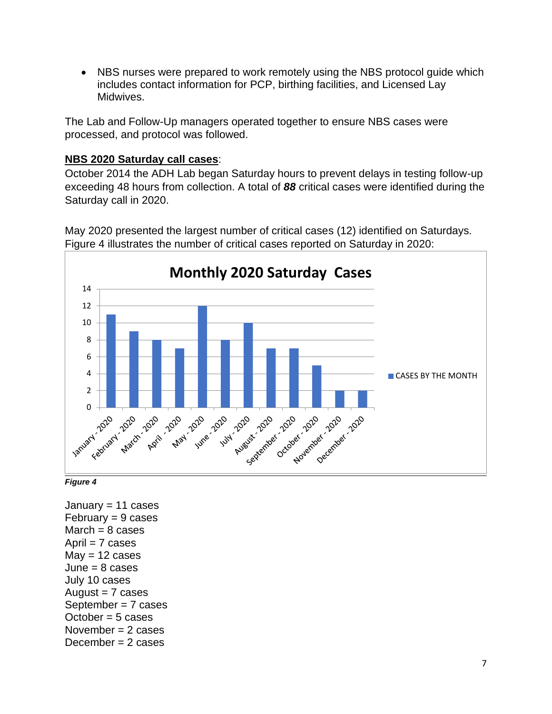• NBS nurses were prepared to work remotely using the NBS protocol guide which includes contact information for PCP, birthing facilities, and Licensed Lay Midwives.

The Lab and Follow-Up managers operated together to ensure NBS cases were processed, and protocol was followed.

#### **NBS 2020 Saturday call cases**:

October 2014 the ADH Lab began Saturday hours to prevent delays in testing follow-up exceeding 48 hours from collection. A total of *88* critical cases were identified during the Saturday call in 2020.



May 2020 presented the largest number of critical cases (12) identified on Saturdays. Figure 4 illustrates the number of critical cases reported on Saturday in 2020:



January  $= 11$  cases  $February = 9 cases$  $March = 8 cases$ April  $= 7$  cases  $May = 12 cases$  $June = 8 cases$ July 10 cases August  $= 7$  cases September = 7 cases October = 5 cases November  $= 2$  cases December  $= 2$  cases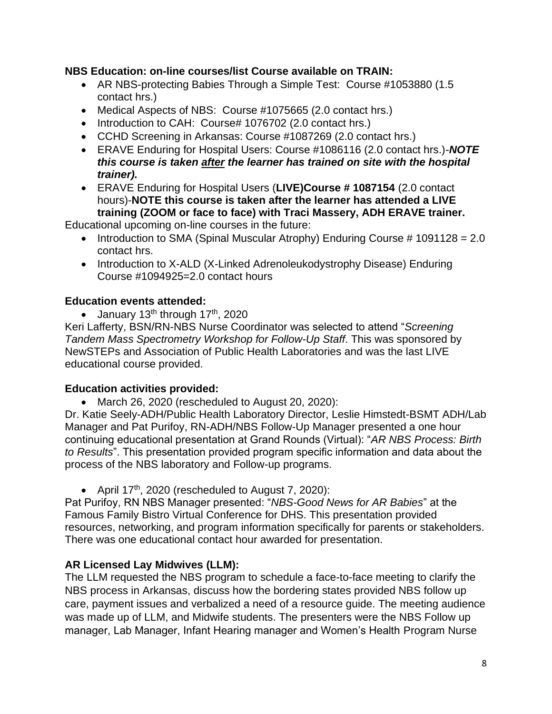#### **NBS Education: on-line courses/list Course available on TRAIN:**

- AR NBS-protecting Babies Through a Simple Test: Course #1053880 (1.5 contact hrs.)
- Medical Aspects of NBS: Course #1075665 (2.0 contact hrs.)
- Introduction to CAH: Course# 1076702 (2.0 contact hrs.)
- CCHD Screening in Arkansas: Course #1087269 (2.0 contact hrs.)
- ERAVE Enduring for Hospital Users: Course #1086116 (2.0 contact hrs.)-*NOTE this course is taken after the learner has trained on site with the hospital trainer).*
- ERAVE Enduring for Hospital Users (**LIVE)Course # 1087154** (2.0 contact hours)-**NOTE this course is taken after the learner has attended a LIVE training (ZOOM or face to face) with Traci Massery, ADH ERAVE trainer.**

Educational upcoming on-line courses in the future:

- Introduction to SMA (Spinal Muscular Atrophy) Enduring Course # 1091128 = 2.0 contact hrs.
- Introduction to X-ALD (X-Linked Adrenoleukodystrophy Disease) Enduring Course #1094925=2.0 contact hours

#### **Education events attended:**

• January 13<sup>th</sup> through 17<sup>th</sup>, 2020

Keri Lafferty, BSN/RN-NBS Nurse Coordinator was selected to attend "*Screening Tandem Mass Spectrometry Workshop for Follow-Up Staff*. This was sponsored by NewSTEPs and Association of Public Health Laboratories and was the last LIVE educational course provided.

#### **Education activities provided:**

• March 26, 2020 (rescheduled to August 20, 2020):

Dr. Katie Seely-ADH/Public Health Laboratory Director, Leslie Himstedt-BSMT ADH/Lab Manager and Pat Purifoy, RN-ADH/NBS Follow-Up Manager presented a one hour continuing educational presentation at Grand Rounds (Virtual): "*AR NBS Process: Birth to Results*". This presentation provided program specific information and data about the process of the NBS laboratory and Follow-up programs.

• April 17<sup>th</sup>, 2020 (rescheduled to August 7, 2020):

Pat Purifoy, RN NBS Manager presented: "*NBS-Good News for AR Babies*" at the Famous Family Bistro Virtual Conference for DHS. This presentation provided resources, networking, and program information specifically for parents or stakeholders. There was one educational contact hour awarded for presentation.

### **AR Licensed Lay Midwives (LLM):**

The LLM requested the NBS program to schedule a face-to-face meeting to clarify the NBS process in Arkansas, discuss how the bordering states provided NBS follow up care, payment issues and verbalized a need of a resource guide. The meeting audience was made up of LLM, and Midwife students. The presenters were the NBS Follow up manager, Lab Manager, Infant Hearing manager and Women's Health Program Nurse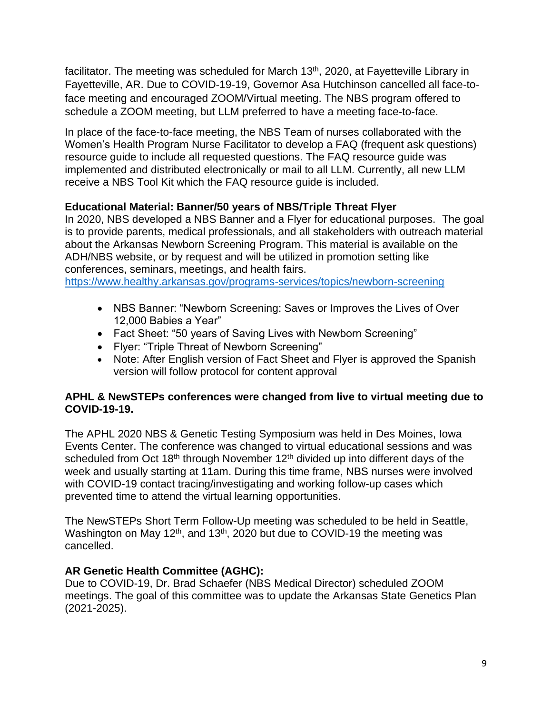facilitator. The meeting was scheduled for March 13<sup>th</sup>, 2020, at Fayetteville Library in Fayetteville, AR. Due to COVID-19-19, Governor Asa Hutchinson cancelled all face-toface meeting and encouraged ZOOM/Virtual meeting. The NBS program offered to schedule a ZOOM meeting, but LLM preferred to have a meeting face-to-face.

In place of the face-to-face meeting, the NBS Team of nurses collaborated with the Women's Health Program Nurse Facilitator to develop a FAQ (frequent ask questions) resource guide to include all requested questions. The FAQ resource guide was implemented and distributed electronically or mail to all LLM. Currently, all new LLM receive a NBS Tool Kit which the FAQ resource guide is included.

# **Educational Material: Banner/50 years of NBS/Triple Threat Flyer**

In 2020, NBS developed a NBS Banner and a Flyer for educational purposes. The goal is to provide parents, medical professionals, and all stakeholders with outreach material about the Arkansas Newborn Screening Program. This material is available on the ADH/NBS website, or by request and will be utilized in promotion setting like conferences, seminars, meetings, and health fairs.

<https://www.healthy.arkansas.gov/programs-services/topics/newborn-screening>

- NBS Banner: "Newborn Screening: Saves or Improves the Lives of Over 12,000 Babies a Year"
- Fact Sheet: "50 years of Saving Lives with Newborn Screening"
- Flyer: "Triple Threat of Newborn Screening"
- Note: After English version of Fact Sheet and Flyer is approved the Spanish version will follow protocol for content approval

### **APHL & NewSTEPs conferences were changed from live to virtual meeting due to COVID-19-19.**

The APHL 2020 NBS & Genetic Testing Symposium was held in Des Moines, Iowa Events Center. The conference was changed to virtual educational sessions and was scheduled from Oct  $18<sup>th</sup>$  through November  $12<sup>th</sup>$  divided up into different days of the week and usually starting at 11am. During this time frame, NBS nurses were involved with COVID-19 contact tracing/investigating and working follow-up cases which prevented time to attend the virtual learning opportunities.

The NewSTEPs Short Term Follow-Up meeting was scheduled to be held in Seattle, Washington on May 12<sup>th</sup>, and 13<sup>th</sup>, 2020 but due to COVID-19 the meeting was cancelled.

### **AR Genetic Health Committee (AGHC):**

Due to COVID-19, Dr. Brad Schaefer (NBS Medical Director) scheduled ZOOM meetings. The goal of this committee was to update the Arkansas State Genetics Plan (2021-2025).